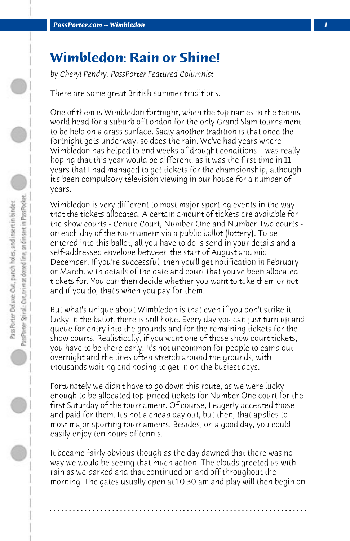## **Wimbledon: Rain or Shine!**

*by Cheryl Pendry, PassPorter Featured Columnist*

There are some great British summer traditions.

One of them is Wimbledon fortnight, when the top names in the tennis world head for a suburb of London for the only Grand Slam tournament to be held on a grass surface. Sadly another tradition is that once the fortnight gets underway, so does the rain. We've had years where Wimbledon has helped to end weeks of drought conditions. I was really hoping that this year would be different, as it was the first time in 11 years that I had managed to get tickets for the championship, although it's been compulsory television viewing in our house for a number of years.

Wimbledon is very different to most major sporting events in the way that the tickets allocated. A certain amount of tickets are available for the show courts - Centre Court, Number One and Number Two courts on each day of the tournament via a public ballot (lottery). To be entered into this ballot, all you have to do is send in your details and a self-addressed envelope between the start of August and mid December. If you're successful, then you'll get notification in February or March, with details of the date and court that you've been allocated tickets for. You can then decide whether you want to take them or not and if you do, that's when you pay for them.

But what's unique about Wimbledon is that even if you don't strike it lucky in the ballot, there is still hope. Every day you can just turn up and queue for entry into the grounds and for the remaining tickets for the show courts. Realistically, if you want one of those show court tickets, you have to be there early. It's not uncommon for people to camp out overnight and the lines often stretch around the grounds, with thousands waiting and hoping to get in on the busiest days.

Fortunately we didn't have to go down this route, as we were lucky enough to be allocated top-priced tickets for Number One court for the first Saturday of the tournament. Of course, I eagerly accepted those and paid for them. It's not a cheap day out, but then, that applies to most major sporting tournaments. Besides, on a good day, you could easily enjoy ten hours of tennis.

It became fairly obvious though as the day dawned that there was no way we would be seeing that much action. The clouds greeted us with rain as we parked and that continued on and off throughout the morning. The gates usually open at 10:30 am and play will then begin on

**. . . . . . . . . . . . . . . . . . . . . . . . . . . . . . . . . . . . . . . . . . . . . . . . . . . . . . . . . . . . . . . . . .**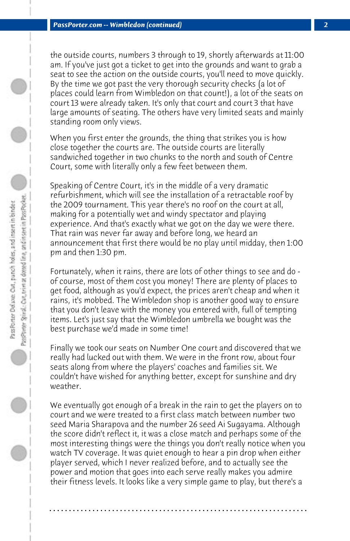the outside courts, numbers 3 through to 19, shortly afterwards at 11:00 am. If you've just got a ticket to get into the grounds and want to grab a seat to see the action on the outside courts, you'll need to move quickly. By the time we got past the very thorough security checks (a lot of places could learn from Wimbledon on that count!), a lot of the seats on court 13 were already taken. It's only that court and court 3 that have large amounts of seating. The others have very limited seats and mainly standing room only views.

When you first enter the grounds, the thing that strikes you is how close together the courts are. The outside courts are literally sandwiched together in two chunks to the north and south of Centre Court, some with literally only a few feet between them.

Speaking of Centre Court, it's in the middle of a very dramatic refurbishment, which will see the installation of a retractable roof by the 2009 tournament. This year there's no roof on the court at all, making for a potentially wet and windy spectator and playing experience. And that's exactly what we got on the day we were there. That rain was never far away and before long, we heard an announcement that first there would be no play until midday, then 1:00 pm and then 1:30 pm.

Fortunately, when it rains, there are lots of other things to see and do of course, most of them cost you money! There are plenty of places to get food, although as you'd expect, the prices aren't cheap and when it rains, it's mobbed. The Wimbledon shop is another good way to ensure that you don't leave with the money you entered with, full of tempting items. Let's just say that the Wimbledon umbrella we bought was the best purchase we'd made in some time!

Finally we took our seats on Number One court and discovered that we really had lucked out with them. We were in the front row, about four seats along from where the players' coaches and families sit. We couldn't have wished for anything better, except for sunshine and dry weather.

We eventually got enough of a break in the rain to get the players on to court and we were treated to a first class match between number two seed Maria Sharapova and the number 26 seed Ai Sugayama. Although the score didn't reflect it, it was a close match and perhaps some of the most interesting things were the things you don't really notice when you watch TV coverage. It was quiet enough to hear a pin drop when either player served, which I never realized before, and to actually see the power and motion that goes into each serve really makes you admire their fitness levels. It looks like a very simple game to play, but there's a

**. . . . . . . . . . . . . . . . . . . . . . . . . . . . . . . . . . . . . . . . . . . . . . . . . . . . . . . . . . . . . . . . . .**